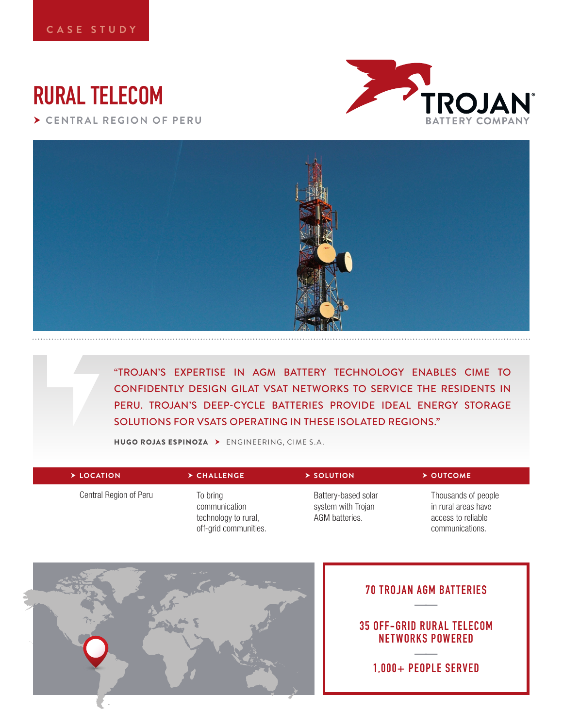# **RURAL TELECOM**

 **CENTRAL REGION OF PERU**





"TROJAN'S EXPERTISE IN AGM BATTERY TECHNOLOGY ENABLES CIME TO CONFIDENTLY DESIGN GILAT VSAT NETWORKS TO SERVICE THE RESIDENTS IN PERU. TROJAN'S DEEP-CYCLE BATTERIES PROVIDE IDEAL ENERGY STORAGE SOLUTIONS FOR VSATS OPERATING IN THESE ISOLATED REGIONS."

HUGO ROJAS ESPINOZA ENGINEERING, CIME S.A.

| $\triangleright$ LOCATION | > CHALLENGE.                                                               | $\triangleright$ SOLUTION                                   | $\triangleright$ OUTCOME                                                            |
|---------------------------|----------------------------------------------------------------------------|-------------------------------------------------------------|-------------------------------------------------------------------------------------|
| Central Region of Peru    | To bring<br>communication<br>technology to rural,<br>off-grid communities. | Battery-based solar<br>system with Trojan<br>AGM batteries. | Thousands of people<br>in rural areas have<br>access to reliable<br>communications. |



# **70 TROJAN AGM BATTERIES ——**

## **35 OFF-GRID RUR AL TELECOM NETWORKS POWERED**

**—— 1,000+ PEOPLE SERVED**